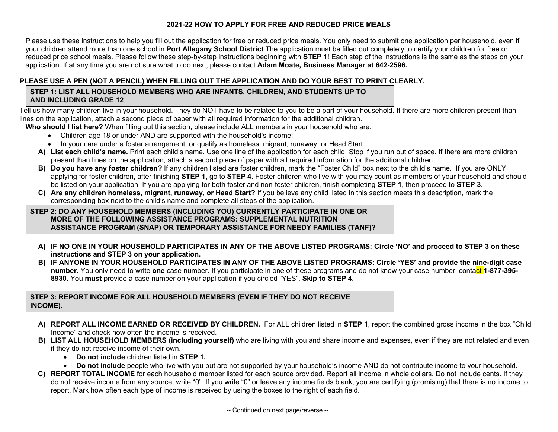# **2021-22 HOW TO APPLY FOR FREE AND REDUCED PRICE MEALS**

Please use these instructions to help you fill out the application for free or reduced price meals. You only need to submit one application per household, even if your children attend more than one school in **Port Allegany School District** The application must be filled out completely to certify your children for free or reduced price school meals. Please follow these step-by-step instructions beginning with **STEP 1**! Each step of the instructions is the same as the steps on your application. If at any time you are not sure what to do next, please contact **Adam Moate, Business Manager at 642-2596.**

# **PLEASE USE A PEN (NOT A PENCIL) WHEN FILLING OUT THE APPLICATION AND DO YOUR BEST TO PRINT CLEARLY.**

## **STEP 1: LIST ALL HOUSEHOLD MEMBERS WHO ARE INFANTS, CHILDREN, AND STUDENTS UP TO AND INCLUDING GRADE 12**

Tell us how many children live in your household. They do NOT have to be related to you to be a part of your household. If there are more children present than lines on the application, attach a second piece of paper with all required information for the additional children.

**Who should I list here?** When filling out this section, please include ALL members in your household who are:

- Children age 18 or under AND are supported with the household's income;
- In your care under a foster arrangement, or qualify as homeless, migrant, runaway, or Head Start.
- **A) List each child's name.** Print each child's name. Use one line of the application for each child. Stop if you run out of space. If there are more children present than lines on the application, attach a second piece of paper with all required information for the additional children.
- **B) Do you have any foster children?** If any children listed are foster children, mark the "Foster Child" box next to the child's name. If you are ONLY applying for foster children, after finishing **STEP 1**, go to **STEP 4**. Foster children who live with you may count as members of your household and should be listed on your application. If you are applying for both foster and non-foster children, finish completing **STEP 1**, then proceed to **STEP 3**.
- **C) Are any children homeless, migrant, runaway, or Head Start?** If you believe any child listed in this section meets this description, mark the corresponding box next to the child's name and complete all steps of the application.

## **STEP 2: DO ANY HOUSEHOLD MEMBERS (INCLUDING YOU) CURRENTLY PARTICIPATE IN ONE OR MORE OF THE FOLLOWING ASSISTANCE PROGRAMS: SUPPLEMENTAL NUTRITION ASSISTANCE PROGRAM (SNAP) OR TEMPORARY ASSISTANCE FOR NEEDY FAMILIES (TANF)?**

- **A) IF NO ONE IN YOUR HOUSEHOLD PARTICIPATES IN ANY OF THE ABOVE LISTED PROGRAMS: Circle 'NO' and proceed to STEP 3 on these instructions and STEP 3 on your application.**
- **B) IF ANYONE IN YOUR HOUSEHOLD PARTICIPATES IN ANY OF THE ABOVE LISTED PROGRAMS: Circle 'YES' and provide the nine-digit case number.** You only need to write **one** case number. If you participate in one of these programs and do not know your case number, contact **1-877-395- 8930**. You **must** provide a case number on your application if you circled "YES". **Skip to STEP 4.**

## **STEP 3: REPORT INCOME FOR ALL HOUSEHOLD MEMBERS (EVEN IF THEY DO NOT RECEIVE INCOME).**

- **A) REPORT ALL INCOME EARNED OR RECEIVED BY CHILDREN.** For ALL children listed in **STEP 1**, report the combined gross income in the box "Child Income" and check how often the income is received.
- **B) LIST ALL HOUSEHOLD MEMBERS (including yourself)** who are living with you and share income and expenses, even if they are not related and even if they do not receive income of their own.
	- **Do not include** children listed in **STEP 1.**
	- **Do not include** people who live with you but are not supported by your household's income AND do not contribute income to your household.
- **C) REPORT TOTAL INCOME** for each household member listed for each source provided. Report all income in whole dollars. Do not include cents. If they do not receive income from any source, write "0". If you write "0" or leave any income fields blank, you are certifying (promising) that there is no income to report. Mark how often each type of income is received by using the boxes to the right of each field.